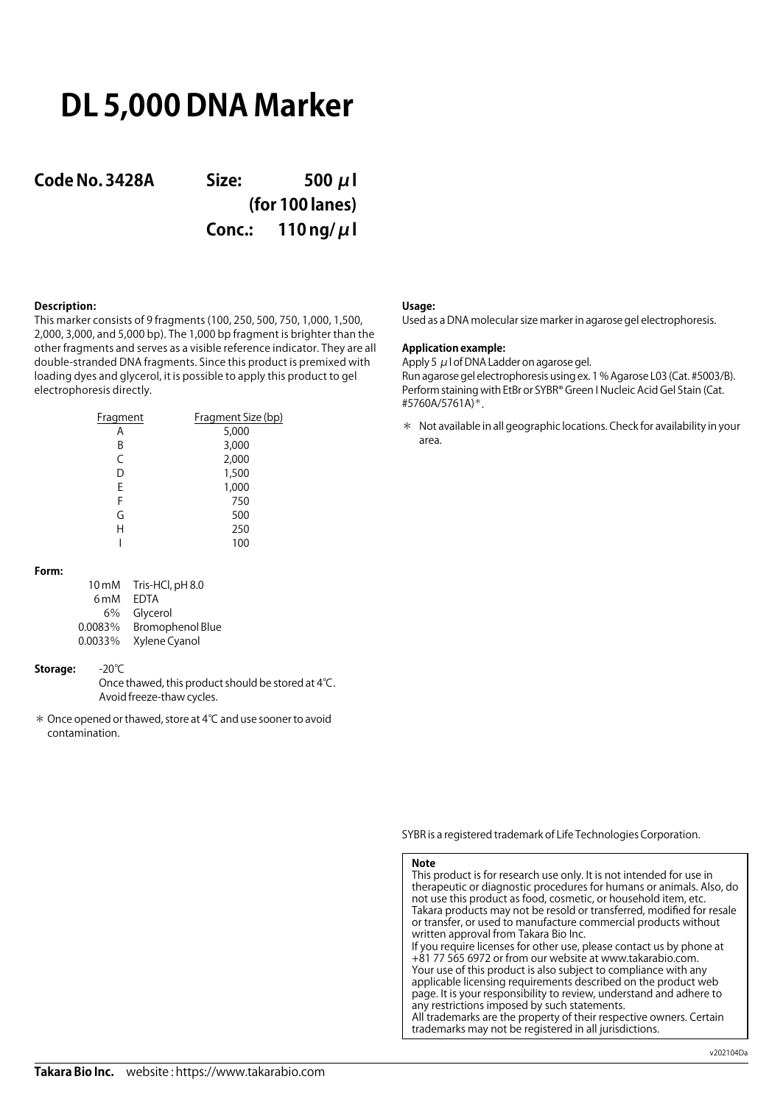# **DL 5,000 DNA Marker**

**Code No. 3428A Size: 500 μl (for 100 lanes) Conc.: 110 ng/μl**

## **Description:**

This marker consists of 9 fragments (100, 250, 500, 750, 1,000, 1,500, 2,000, 3,000, and 5,000 bp). The 1,000 bp fragment is brighter than the other fragments and serves as a visible reference indicator. They are all double-stranded DNA fragments. Since this product is premixed with loading dyes and glycerol, it is possible to apply this product to gel electrophoresis directly.

| Fragment | Fragment Size (bp) |
|----------|--------------------|
| А        | 5,000              |
| В        | 3,000              |
| C        | 2,000              |
| D        | 1,500              |
| E        | 1,000              |
| F        | 750                |
| G        | 500                |
| H        | 250                |
|          | 100                |

### **Form:**

| <b>FDTA</b><br>6 <sub>m</sub> M    |
|------------------------------------|
| Glycerol<br>6%                     |
| <b>Bromophenol Blue</b><br>0.0083% |
| 0.0033%<br>Xylene Cyanol           |

### **Storage:** -20℃

Once thawed, this product should be stored at 4℃. Avoid freeze-thaw cycles.

\* Once opened or thawed, store at 4℃ and use sooner to avoid contamination.

### **Usage:**

Used as a DNA molecular size marker in agarose gel electrophoresis.

## **Application example:**

Apply 5  $\mu$  I of DNA Ladder on agarose gel. Run agarose gel electrophoresis using ex. 1 % Agarose L03 (Cat. #5003/B). Perform staining with EtBr or SYBR® Green I Nucleic Acid Gel Stain (Cat. #5760A/5761A)\*.

\* Not available in all geographic locations. Check for availability in your area.

SYBR is a registered trademark of Life Technologies Corporation.

### **Note**

This product is for research use only. It is not intended for use in therapeutic or diagnostic procedures for humans or animals. Also, do not use this product as food, cosmetic, or household item, etc. Takara products may not be resold or transferred, modified for resale or transfer, or used to manufacture commercial products without written approval from Takara Bio Inc. If you require licenses for other use, please contact us by phone at +81 77 565 6972 or from our website at www.takarabio.com. Your use of this product is also subject to compliance with any applicable licensing requirements described on the product web page. It is your responsibility to review, understand and adhere to any restrictions imposed by such statements. All trademarks are the property of their respective owners. Certain trademarks may not be registered in all jurisdictions.